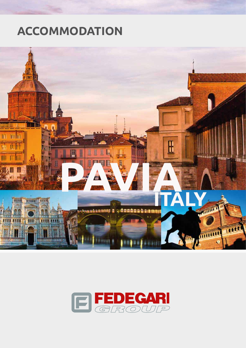# **ACCOMMODATION**



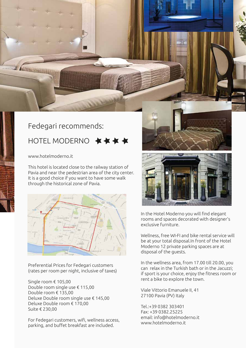### Fedegari recommends:

# HOTFI MODERNO

[www.hotelmoderno.it](http://www.hotelmoderno.it)

This hotel is located close to the railway station of Pavia and near the pedestrian area of the city center. It is a good choice if you want to have some walk through the historical zone of Pavia.



Preferential Prices for Fedegari customers (rates per room per night, inclusive of taxes)

Single room € 105,00 Double room single use € 115,00 Double room € 135,00 Deluxe Double room single use € 145,00 Deluxe Double room € 170,00 Suite € 230,00

For Fedegari customers, wifi, wellness access, parking, and buffet breakfast are included.





In the Hotel Moderno you will find elegant rooms and spaces decorated with designer's exclusive furniture.

Wellness, free WI-FI and bike rental service will be at your total disposal.In front of the Hotel Moderno 12 private parking spaces are at disposal of the guests.

In the wellness area, from 17.00 till 20.00, you can relax in the Turkish bath or in the Jacuzzi; if sport is your choice, enjoy the fitness room or rent a bike to explore the town.

Viale Vittorio Emanuele II, 41 27100 Pavia (PV) Italy

Tel.:+39 0382 303401 Fax: +39 0382.25225 email: [info@hotelmoderno.it](mailto:info@hotelmoderno.it) [www.hotelmoderno.it](http://www.hotelmoderno.it)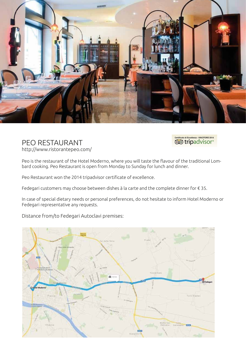

#### PEO RESTAURANT <http://www.ristorantepeo.com/>



Peo is the restaurant of the Hotel Moderno, where you will taste the flavour of the traditional Lombard cooking. Peo Restaurant is open from Monday to Sunday for lunch and dinner.

Peo Restaurant won the 2014 tripadvisor certificate of excellence.

Fedegari customers may choose between dishes à la carte and the complete dinner for € 35.

In case of special dietary needs or personal preferences, do not hesitate to inform Hotel Moderno or Fedegari representative any requests.

Distance from/to Fedegari Autoclavi premises: